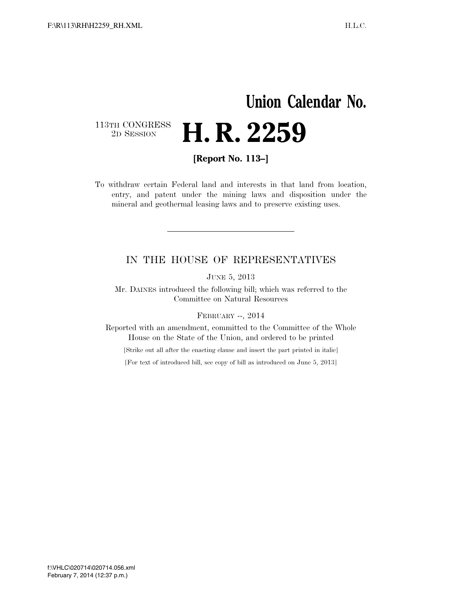## **Union Calendar No.** 113TH CONGRESS<br>2D SESSION 2D SESSION **H. R. 2259**

**[Report No. 113–]** 

To withdraw certain Federal land and interests in that land from location, entry, and patent under the mining laws and disposition under the mineral and geothermal leasing laws and to preserve existing uses.

## IN THE HOUSE OF REPRESENTATIVES

JUNE 5, 2013

Mr. DAINES introduced the following bill; which was referred to the Committee on Natural Resources

FEBRUARY --, 2014

Reported with an amendment, committed to the Committee of the Whole House on the State of the Union, and ordered to be printed

[Strike out all after the enacting clause and insert the part printed in italic]

[For text of introduced bill, see copy of bill as introduced on June 5, 2013]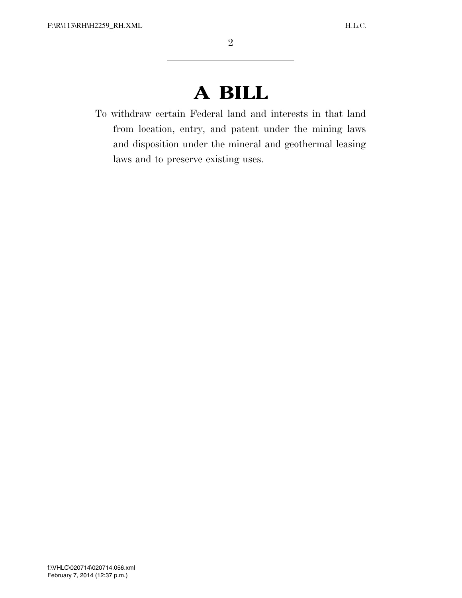## **A BILL**

To withdraw certain Federal land and interests in that land from location, entry, and patent under the mining laws and disposition under the mineral and geothermal leasing laws and to preserve existing uses.

 $V_{\rm eff}$  Feb 07 2002 12:37 Fm  $\Gamma_{\rm eff}$  Sfmt 6652 C: $\Gamma_{\rm eff}$  C: $\Gamma_{\rm eff}$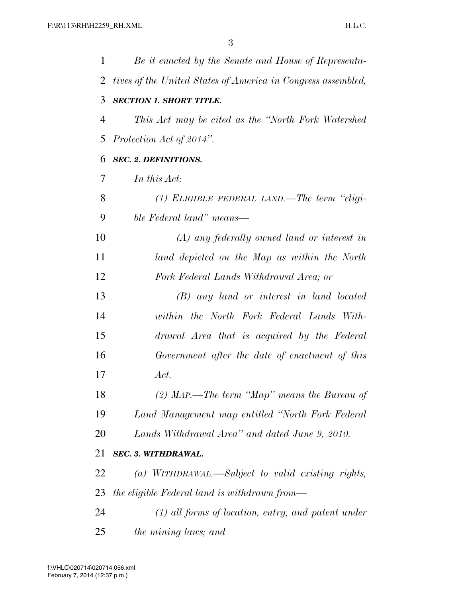| $\mathbf 1$    | Be it enacted by the Senate and House of Representa-         |
|----------------|--------------------------------------------------------------|
| 2              | tives of the United States of America in Congress assembled, |
| 3              | <b>SECTION 1. SHORT TITLE.</b>                               |
| $\overline{4}$ | This Act may be cited as the "North Fork Watershed"          |
| 5              | Protection Act of 2014".                                     |
| 6              | <b>SEC. 2. DEFINITIONS.</b>                                  |
| 7              | In this Act:                                                 |
| 8              | (1) ELIGIBLE FEDERAL LAND.—The term "eligi-                  |
| 9              | ble Federal land" means—                                     |
| 10             | $(A)$ any federally owned land or interest in                |
| 11             | land depicted on the Map as within the North                 |
| 12             | Fork Federal Lands Withdrawal Area; or                       |
| 13             | (B) any land or interest in land located                     |
| 14             | within the North Fork Federal Lands With-                    |
| 15             | drawal Area that is acquired by the Federal                  |
| 16             | Government after the date of enactment of this               |
| 17             | Act.                                                         |
| 18             | $(2)$ MAP.—The term "Map" means the Bureau of                |
| 19             | Land Management map entitled "North Fork Federal             |
| 20             | Lands Withdrawal Area" and dated June 9, 2010.               |
| 21             | SEC. 3. WITHDRAWAL.                                          |
| 22             | (a) WITHDRAWAL.—Subject to valid existing rights,            |
| 23             | the eligible Federal land is withdrawn from—                 |
| 24             | $(1)$ all forms of location, entry, and patent under         |
| 25             | the mining laws; and                                         |